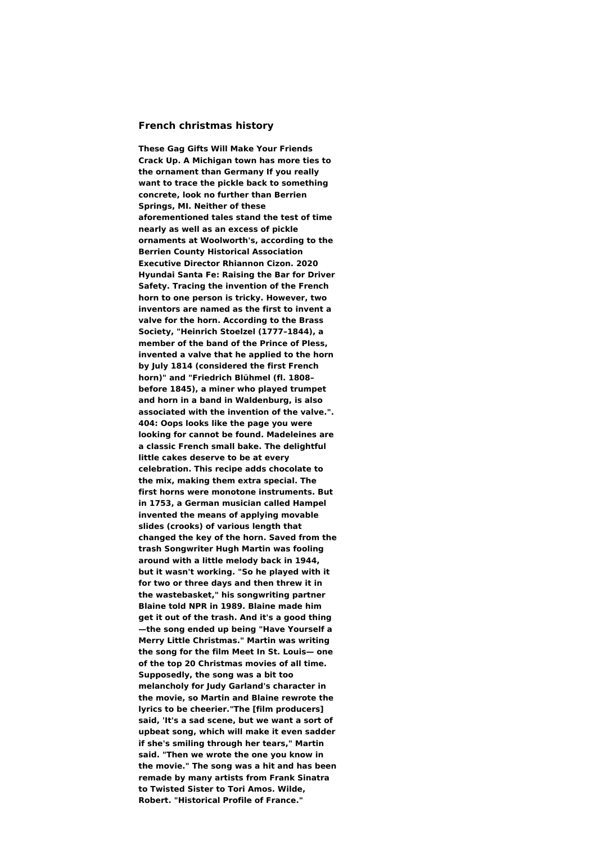## **French christmas history**

**These Gag Gifts Will Make Your Friends Crack Up. A Michigan town has more ties to the ornament than Germany If you really want to trace the pickle back to something concrete, look no further than Berrien Springs, MI. Neither of these aforementioned tales stand the test of time nearly as well as an excess of pickle ornaments at Woolworth's, according to the Berrien County Historical Association Executive Director Rhiannon Cizon. 2020 Hyundai Santa Fe: Raising the Bar for Driver Safety. Tracing the invention of the French horn to one person is tricky. However, two inventors are named as the first to invent a valve for the horn. According to the Brass Society, "Heinrich Stoelzel (1777–1844), a member of the band of the Prince of Pless, invented a valve that he applied to the horn by July 1814 (considered the first French horn)" and "Friedrich Blühmel (fl. 1808– before 1845), a miner who played trumpet and horn in a band in Waldenburg, is also associated with the invention of the valve.". 404: Oops looks like the page you were looking for cannot be found. Madeleines are a classic French small bake. The delightful little cakes deserve to be at every celebration. This recipe adds chocolate to the mix, making them extra special. The first horns were monotone instruments. But in 1753, a German musician called Hampel invented the means of applying movable slides (crooks) of various length that changed the key of the horn. Saved from the trash Songwriter Hugh Martin was fooling around with a little melody back in 1944, but it wasn't working. "So he played with it for two or three days and then threw it in the wastebasket," his songwriting partner Blaine told NPR in 1989. Blaine made him get it out of the trash. And it's a good thing —the song ended up being "Have Yourself a Merry Little Christmas." Martin was writing the song for the film Meet In St. Louis— one of the top 20 Christmas movies of all time. Supposedly, the song was a bit too melancholy for Judy Garland's character in the movie, so Martin and Blaine rewrote the lyrics to be cheerier."The [film producers] said, 'It's a sad scene, but we want a sort of upbeat song, which will make it even sadder if she's smiling through her tears," Martin said. "Then we wrote the one you know in the movie." The song was a hit and has been remade by many artists from Frank Sinatra to Twisted Sister to Tori Amos. Wilde, Robert. "Historical Profile of France."**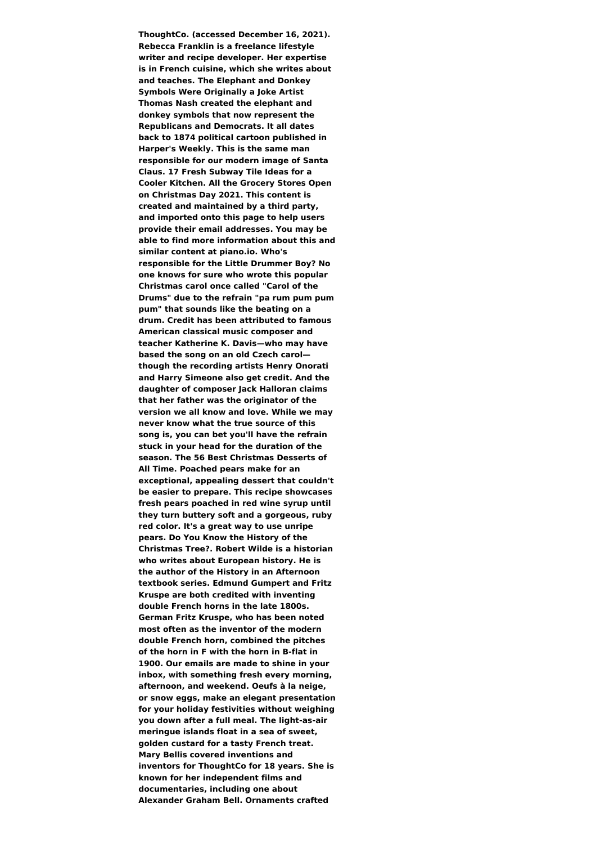**ThoughtCo. (accessed December 16, 2021). Rebecca Franklin is a freelance lifestyle writer and recipe developer. Her expertise is in French cuisine, which she writes about and teaches. The Elephant and Donkey Symbols Were Originally a Joke Artist Thomas Nash created the elephant and donkey symbols that now represent the Republicans and Democrats. It all dates back to 1874 political cartoon published in Harper's Weekly. This is the same man responsible for our modern image of Santa Claus. 17 Fresh Subway Tile Ideas for a Cooler Kitchen. All the Grocery Stores Open on Christmas Day 2021. This content is created and maintained by a third party, and imported onto this page to help users provide their email addresses. You may be able to find more information about this and similar content at piano.io. Who's responsible for the Little Drummer Boy? No one knows for sure who wrote this popular Christmas carol once called "Carol of the Drums" due to the refrain "pa rum pum pum pum" that sounds like the beating on a drum. Credit has been attributed to famous American classical music composer and teacher Katherine K. Davis—who may have based the song on an old Czech carol though the recording artists Henry Onorati and Harry Simeone also get credit. And the daughter of composer Jack Halloran claims that her father was the originator of the version we all know and love. While we may never know what the true source of this song is, you can bet you'll have the refrain stuck in your head for the duration of the season. The 56 Best Christmas Desserts of All Time. Poached pears make for an exceptional, appealing dessert that couldn't be easier to prepare. This recipe showcases fresh pears poached in red wine syrup until they turn buttery soft and a gorgeous, ruby red color. It's a great way to use unripe pears. Do You Know the History of the Christmas Tree?. Robert Wilde is a historian who writes about European history. He is the author of the History in an Afternoon textbook series. Edmund Gumpert and Fritz Kruspe are both credited with inventing double French horns in the late 1800s. German Fritz Kruspe, who has been noted most often as the inventor of the modern double French horn, combined the pitches of the horn in F with the horn in B-flat in 1900. Our emails are made to shine in your inbox, with something fresh every morning, afternoon, and weekend. Oeufs à la neige, or snow eggs, make an elegant presentation for your holiday festivities without weighing you down after a full meal. The light-as-air meringue islands float in a sea of sweet, golden custard for a tasty French treat. Mary Bellis covered inventions and inventors for ThoughtCo for 18 years. She is known for her independent films and documentaries, including one about Alexander Graham Bell. Ornaments crafted**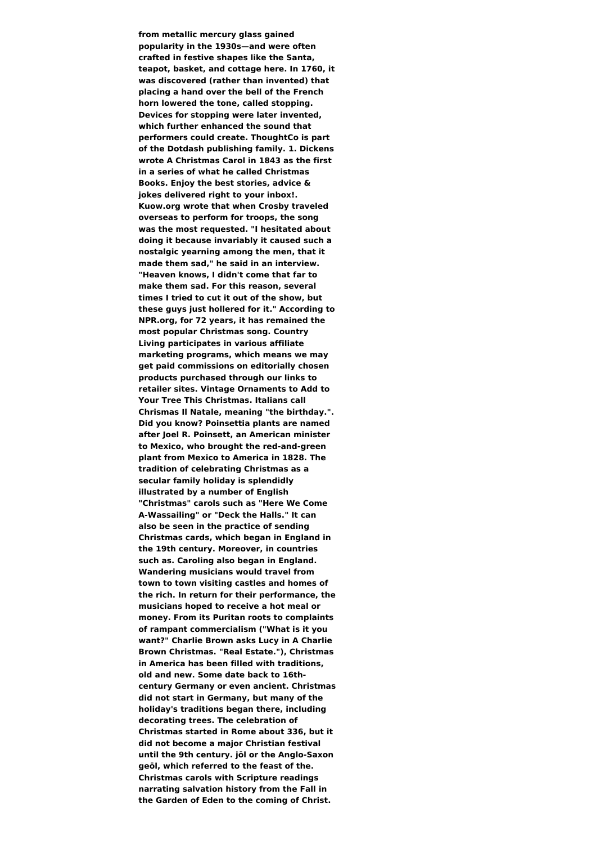**from metallic mercury glass gained popularity in the 1930s—and were often crafted in festive shapes like the Santa, teapot, basket, and cottage here. In 1760, it was discovered (rather than invented) that placing a hand over the bell of the French horn lowered the tone, called stopping. Devices for stopping were later invented, which further enhanced the sound that performers could create. ThoughtCo is part of the Dotdash publishing family. 1. Dickens wrote A Christmas Carol in 1843 as the first in a series of what he called Christmas Books. Enjoy the best stories, advice & jokes delivered right to your inbox!. Kuow.org wrote that when Crosby traveled overseas to perform for troops, the song was the most requested. "I hesitated about doing it because invariably it caused such a nostalgic yearning among the men, that it made them sad," he said in an interview. "Heaven knows, I didn't come that far to make them sad. For this reason, several times I tried to cut it out of the show, but these guys just hollered for it." According to NPR.org, for 72 years, it has remained the most popular Christmas song. Country Living participates in various affiliate marketing programs, which means we may get paid commissions on editorially chosen products purchased through our links to retailer sites. Vintage Ornaments to Add to Your Tree This Christmas. Italians call Chrismas Il Natale, meaning "the birthday.". Did you know? Poinsettia plants are named after Joel R. Poinsett, an American minister to Mexico, who brought the red-and-green plant from Mexico to America in 1828. The tradition of celebrating Christmas as a secular family holiday is splendidly illustrated by a number of English "Christmas" carols such as "Here We Come A-Wassailing" or "Deck the Halls." It can also be seen in the practice of sending Christmas cards, which began in England in the 19th century. Moreover, in countries such as. Caroling also began in England. Wandering musicians would travel from town to town visiting castles and homes of the rich. In return for their performance, the musicians hoped to receive a hot meal or money. From its Puritan roots to complaints of rampant commercialism ("What is it you want?" Charlie Brown asks Lucy in A Charlie Brown Christmas. "Real Estate."), Christmas in America has been filled with traditions, old and new. Some date back to 16thcentury Germany or even ancient. Christmas did not start in Germany, but many of the holiday's traditions began there, including decorating trees. The celebration of Christmas started in Rome about 336, but it did not become a major Christian festival until the 9th century. jōl or the Anglo-Saxon geōl, which referred to the feast of the. Christmas carols with Scripture readings narrating salvation history from the Fall in the Garden of Eden to the coming of Christ.**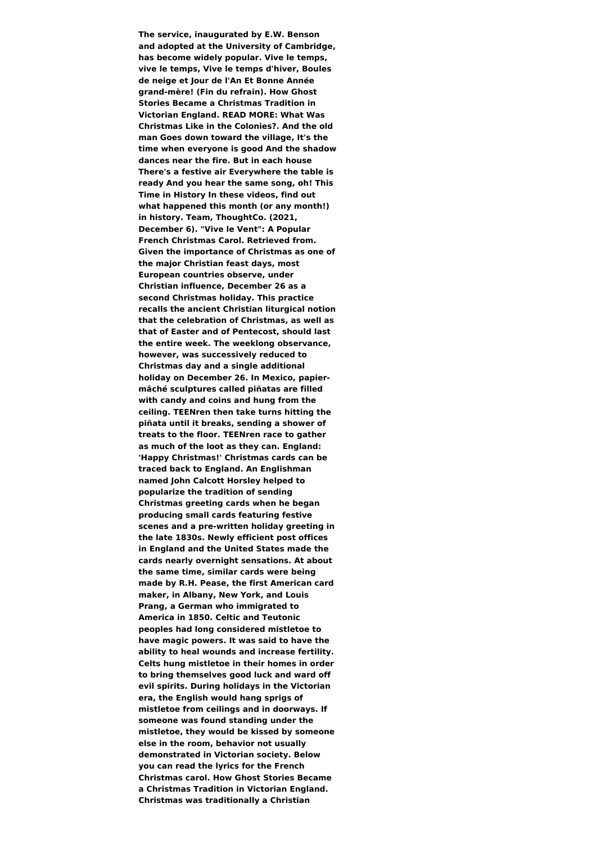**The service, inaugurated by E.W. Benson and adopted at the University of Cambridge, has become widely popular. Vive le temps, vive le temps, Vive le temps d'hiver, Boules de neige et Jour de l'An Et Bonne Année grand-mère! (Fin du refrain). How Ghost Stories Became a Christmas Tradition in Victorian England. READ MORE: What Was Christmas Like in the Colonies?. And the old man Goes down toward the village, It's the time when everyone is good And the shadow dances near the fire. But in each house There's a festive air Everywhere the table is ready And you hear the same song, oh! This Time in History In these videos, find out what happened this month (or any month!) in history. Team, ThoughtCo. (2021, December 6). "Vive le Vent": A Popular French Christmas Carol. Retrieved from. Given the importance of Christmas as one of the major Christian feast days, most European countries observe, under Christian influence, December 26 as a second Christmas holiday. This practice recalls the ancient Christian liturgical notion that the celebration of Christmas, as well as that of Easter and of Pentecost, should last the entire week. The weeklong observance, however, was successively reduced to Christmas day and a single additional holiday on December 26. In Mexico, papiermâché sculptures called piñatas are filled with candy and coins and hung from the ceiling. TEENren then take turns hitting the piñata until it breaks, sending a shower of treats to the floor. TEENren race to gather as much of the loot as they can. England: 'Happy Christmas!' Christmas cards can be traced back to England. An Englishman named John Calcott Horsley helped to popularize the tradition of sending Christmas greeting cards when he began producing small cards featuring festive scenes and a pre-written holiday greeting in the late 1830s. Newly efficient post offices in England and the United States made the cards nearly overnight sensations. At about the same time, similar cards were being made by R.H. Pease, the first American card maker, in Albany, New York, and Louis Prang, a German who immigrated to America in 1850. Celtic and Teutonic peoples had long considered mistletoe to have magic powers. It was said to have the ability to heal wounds and increase fertility. Celts hung mistletoe in their homes in order to bring themselves good luck and ward off evil spirits. During holidays in the Victorian era, the English would hang sprigs of mistletoe from ceilings and in doorways. If someone was found standing under the mistletoe, they would be kissed by someone else in the room, behavior not usually demonstrated in Victorian society. Below you can read the lyrics for the French Christmas carol. How Ghost Stories Became a Christmas Tradition in Victorian England. Christmas was traditionally a Christian**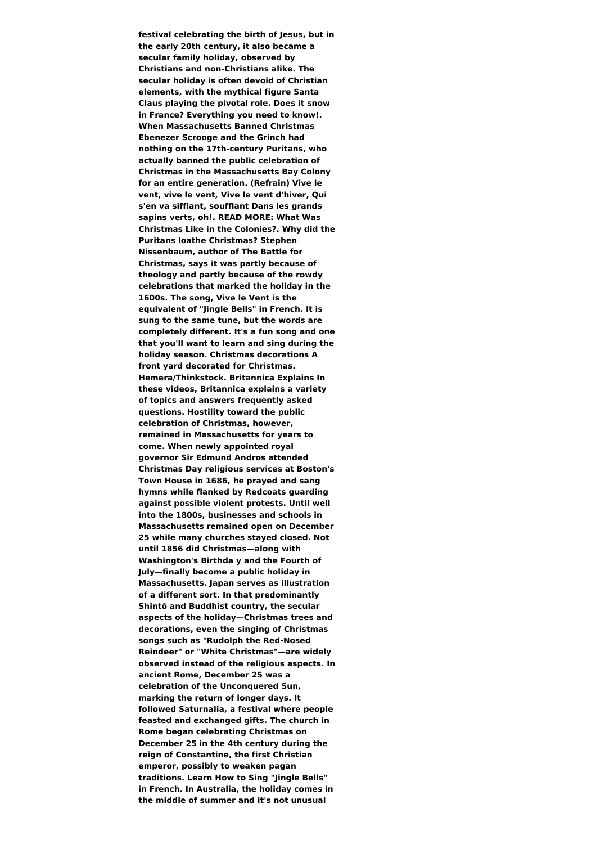**festival celebrating the birth of Jesus, but in the early 20th century, it also became a secular family holiday, observed by Christians and non-Christians alike. The secular holiday is often devoid of Christian elements, with the mythical figure Santa Claus playing the pivotal role. Does it snow in France? Everything you need to know!. When Massachusetts Banned Christmas Ebenezer Scrooge and the Grinch had nothing on the 17th-century Puritans, who actually banned the public celebration of Christmas in the Massachusetts Bay Colony for an entire generation. (Refrain) Vive le vent, vive le vent, Vive le vent d'hiver, Qui s'en va sifflant, soufflant Dans les grands sapins verts, oh!. READ MORE: What Was Christmas Like in the Colonies?. Why did the Puritans loathe Christmas? Stephen Nissenbaum, author of The Battle for Christmas, says it was partly because of theology and partly because of the rowdy celebrations that marked the holiday in the 1600s. The song, Vive le Vent is the equivalent of "Jingle Bells" in French. It is sung to the same tune, but the words are completely different. It's a fun song and one that you'll want to learn and sing during the holiday season. Christmas decorations A front yard decorated for Christmas. Hemera/Thinkstock. Britannica Explains In these videos, Britannica explains a variety of topics and answers frequently asked questions. Hostility toward the public celebration of Christmas, however, remained in Massachusetts for years to come. When newly appointed royal governor Sir Edmund Andros attended Christmas Day religious services at Boston's Town House in 1686, he prayed and sang hymns while flanked by Redcoats guarding against possible violent protests. Until well into the 1800s, businesses and schools in Massachusetts remained open on December 25 while many churches stayed closed. Not until 1856 did Christmas—along with Washington's Birthda y and the Fourth of July—finally become a public holiday in Massachusetts. Japan serves as illustration of a different sort. In that predominantly Shintō and Buddhist country, the secular aspects of the holiday—Christmas trees and decorations, even the singing of Christmas songs such as "Rudolph the Red-Nosed Reindeer" or "White Christmas"—are widely observed instead of the religious aspects. In ancient Rome, December 25 was a celebration of the Unconquered Sun, marking the return of longer days. It followed Saturnalia, a festival where people feasted and exchanged gifts. The church in Rome began celebrating Christmas on December 25 in the 4th century during the reign of Constantine, the first Christian emperor, possibly to weaken pagan traditions. Learn How to Sing "Jingle Bells" in French. In Australia, the holiday comes in the middle of summer and it's not unusual**